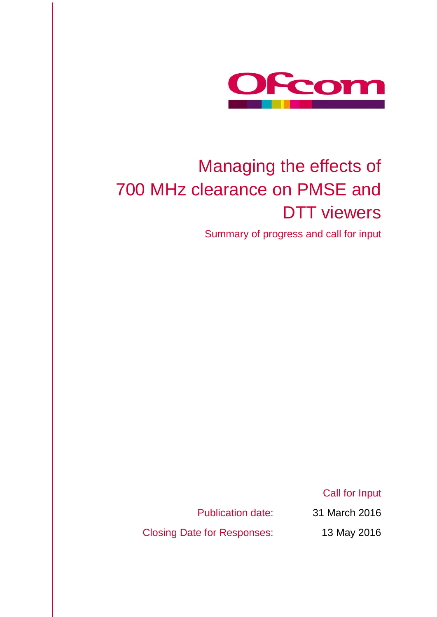

# Managing the effects of 700 MHz clearance on PMSE and DTT viewers

Summary of progress and call for input

Call for Input

Closing Date for Responses: 13 May 2016

Publication date: 31 March 2016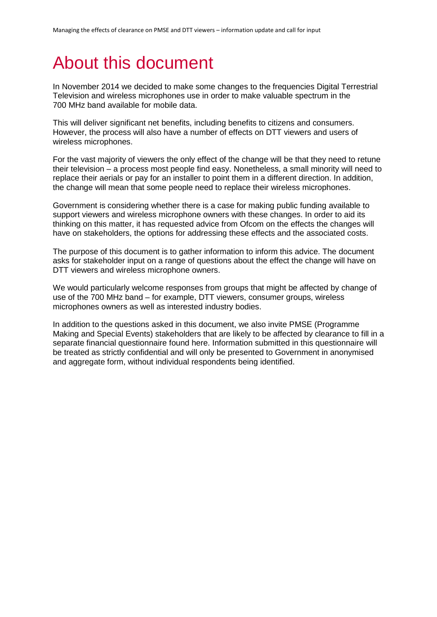# About this document

In November 2014 we decided to make some changes to the frequencies Digital Terrestrial Television and wireless microphones use in order to make valuable spectrum in the 700 MHz band available for mobile data.

This will deliver significant net benefits, including benefits to citizens and consumers. However, the process will also have a number of effects on DTT viewers and users of wireless microphones.

For the vast majority of viewers the only effect of the change will be that they need to retune their television – a process most people find easy. Nonetheless, a small minority will need to replace their aerials or pay for an installer to point them in a different direction. In addition, the change will mean that some people need to replace their wireless microphones.

Government is considering whether there is a case for making public funding available to support viewers and wireless microphone owners with these changes. In order to aid its thinking on this matter, it has requested advice from Ofcom on the effects the changes will have on stakeholders, the options for addressing these effects and the associated costs.

The purpose of this document is to gather information to inform this advice. The document asks for stakeholder input on a range of questions about the effect the change will have on DTT viewers and wireless microphone owners.

We would particularly welcome responses from groups that might be affected by change of use of the 700 MHz band – for example, DTT viewers, consumer groups, wireless microphones owners as well as interested industry bodies.

In addition to the questions asked in this document, we also invite PMSE (Programme Making and Special Events) stakeholders that are likely to be affected by clearance to fill in a separate financial questionnaire found here. Information submitted in this questionnaire will be treated as strictly confidential and will only be presented to Government in anonymised and aggregate form, without individual respondents being identified.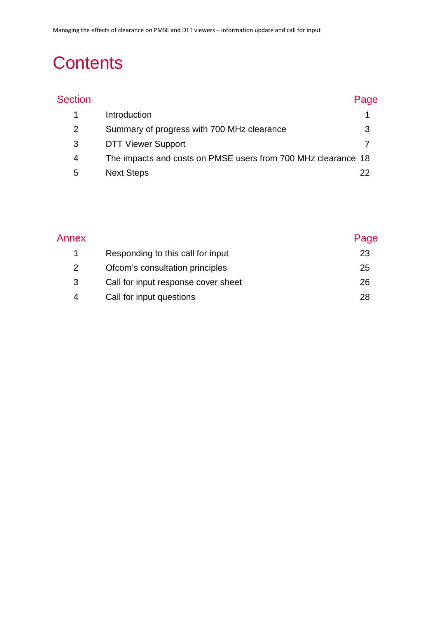# **Contents**

| <b>Section</b> |                                                               | Page |
|----------------|---------------------------------------------------------------|------|
|                | Introduction                                                  |      |
| 2              | Summary of progress with 700 MHz clearance                    | 3    |
| 3              | <b>DTT Viewer Support</b>                                     |      |
| 4              | The impacts and costs on PMSE users from 700 MHz clearance 18 |      |
| 5              | <b>Next Steps</b>                                             | 22   |

| Annex |                                     | Page |
|-------|-------------------------------------|------|
|       | Responding to this call for input   | 23   |
| 2     | Ofcom's consultation principles     | 25   |
| 3     | Call for input response cover sheet | 26   |
| 4     | Call for input questions            | 28   |
|       |                                     |      |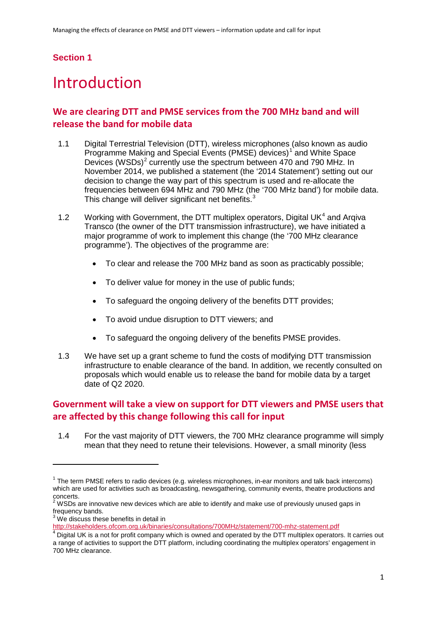### **Section 1**

## <span id="page-3-0"></span>**Introduction**

## **We are clearing DTT and PMSE services from the 700 MHz band and will release the band for mobile data**

- 1.1 Digital Terrestrial Television (DTT), wireless microphones (also known as audio Programme Making and Special Events (PMSE) devices)<sup>[1](#page-3-1)</sup> and White Space Devices (WSDs)<sup>[2](#page-3-2)</sup> currently use the spectrum between 470 and 790 MHz. In November 2014, we published a statement (the '2014 Statement') setting out our decision to change the way part of this spectrum is used and re-allocate the frequencies between 694 MHz and 790 MHz (the '700 MHz band') for mobile data. This change will deliver significant net benefits. $3$
- 1.2 Working with Government, the DTT multiplex operators, Digital UK $4$  and Argiva Transco (the owner of the DTT transmission infrastructure), we have initiated a major programme of work to implement this change (the '700 MHz clearance programme'). The objectives of the programme are:
	- To clear and release the 700 MHz band as soon as practicably possible;
	- To deliver value for money in the use of public funds;
	- To safeguard the ongoing delivery of the benefits DTT provides;
	- To avoid undue disruption to DTT viewers; and
	- To safeguard the ongoing delivery of the benefits PMSE provides.
- 1.3 We have set up a grant scheme to fund the costs of modifying DTT transmission infrastructure to enable clearance of the band. In addition, we recently consulted on proposals which would enable us to release the band for mobile data by a target date of Q2 2020.

### **Government will take a view on support for DTT viewers and PMSE users that are affected by this change following this call for input**

1.4 For the vast majority of DTT viewers, the 700 MHz clearance programme will simply mean that they need to retune their televisions. However, a small minority (less

<span id="page-3-1"></span> $1$  The term PMSE refers to radio devices (e.g. wireless microphones, in-ear monitors and talk back intercoms) which are used for activities such as broadcasting, newsgathering, community events, theatre productions and concerts.

<span id="page-3-2"></span><sup>2</sup> WSDs are innovative new devices which are able to identify and make use of previously unused gaps in frequency bands.

<span id="page-3-3"></span> $3$  We discuss these benefits in detail in<br>http://stakeholders.ofcom.org.uk/binaries/consultations/700MHz/statement/700-mhz-statement.pdf

<span id="page-3-4"></span>http://stateholders.org.uk/binaries-companters.org.uk/statement/700-max-statement-<br><sup>4</sup> Digital UK is a not for profit company which is owned and operated by the DTT multiplex operators. It carries out a range of activities to support the DTT platform, including coordinating the multiplex operators' engagement in 700 MHz clearance.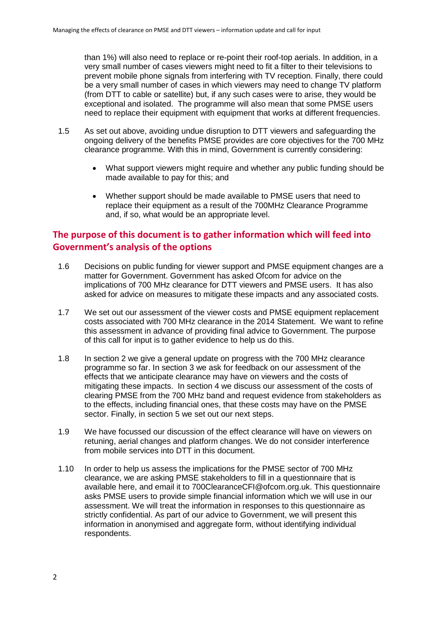than 1%) will also need to replace or re-point their roof-top aerials. In addition, in a very small number of cases viewers might need to fit a filter to their televisions to prevent mobile phone signals from interfering with TV reception. Finally, there could be a very small number of cases in which viewers may need to change TV platform (from DTT to cable or satellite) but, if any such cases were to arise, they would be exceptional and isolated. The programme will also mean that some PMSE users need to replace their equipment with equipment that works at different frequencies.

- 1.5 As set out above, avoiding undue disruption to DTT viewers and safeguarding the ongoing delivery of the benefits PMSE provides are core objectives for the 700 MHz clearance programme. With this in mind, Government is currently considering:
	- What support viewers might require and whether any public funding should be made available to pay for this; and
	- Whether support should be made available to PMSE users that need to replace their equipment as a result of the 700MHz Clearance Programme and, if so, what would be an appropriate level.

## **The purpose of this document is to gather information which will feed into Government's analysis of the options**

- 1.6 Decisions on public funding for viewer support and PMSE equipment changes are a matter for Government. Government has asked Ofcom for advice on the implications of 700 MHz clearance for DTT viewers and PMSE users. It has also asked for advice on measures to mitigate these impacts and any associated costs.
- 1.7 We set out our assessment of the viewer costs and PMSE equipment replacement costs associated with 700 MHz clearance in the 2014 Statement. We want to refine this assessment in advance of providing final advice to Government. The purpose of this call for input is to gather evidence to help us do this.
- 1.8 In section 2 we give a general update on progress with the 700 MHz clearance programme so far. In section 3 we ask for feedback on our assessment of the effects that we anticipate clearance may have on viewers and the costs of mitigating these impacts. In section 4 we discuss our assessment of the costs of clearing PMSE from the 700 MHz band and request evidence from stakeholders as to the effects, including financial ones, that these costs may have on the PMSE sector. Finally, in section 5 we set out our next steps.
- 1.9 We have focussed our discussion of the effect clearance will have on viewers on retuning, aerial changes and platform changes. We do not consider interference from mobile services into DTT in this document.
- 1.10 In order to help us assess the implications for the PMSE sector of 700 MHz clearance, we are asking PMSE stakeholders to fill in a questionnaire that is available here, and email it to 700ClearanceCFI@ofcom.org.uk. This questionnaire asks PMSE users to provide simple financial information which we will use in our assessment. We will treat the information in responses to this questionnaire as strictly confidential. As part of our advice to Government, we will present this information in anonymised and aggregate form, without identifying individual respondents.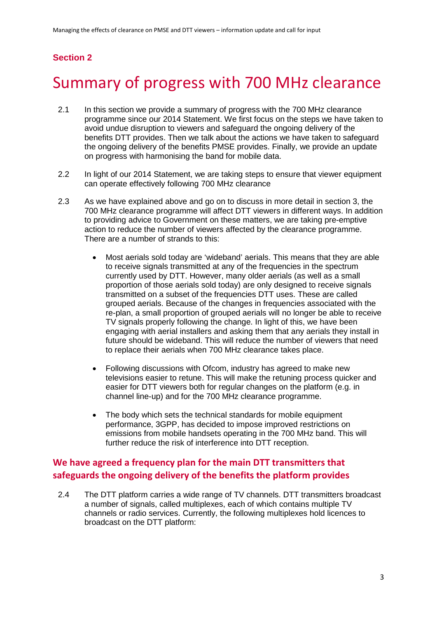## **Section 2**

## <span id="page-5-0"></span>2 Summary of progress with 700 MHz clearance

- 2.1 In this section we provide a summary of progress with the 700 MHz clearance programme since our 2014 Statement. We first focus on the steps we have taken to avoid undue disruption to viewers and safeguard the ongoing delivery of the benefits DTT provides. Then we talk about the actions we have taken to safeguard the ongoing delivery of the benefits PMSE provides. Finally, we provide an update on progress with harmonising the band for mobile data.
- 2.2 In light of our 2014 Statement, we are taking steps to ensure that viewer equipment can operate effectively following 700 MHz clearance
- 2.3 As we have explained above and go on to discuss in more detail in section 3, the 700 MHz clearance programme will affect DTT viewers in different ways. In addition to providing advice to Government on these matters, we are taking pre-emptive action to reduce the number of viewers affected by the clearance programme. There are a number of strands to this:
	- Most aerials sold today are 'wideband' aerials. This means that they are able to receive signals transmitted at any of the frequencies in the spectrum currently used by DTT. However, many older aerials (as well as a small proportion of those aerials sold today) are only designed to receive signals transmitted on a subset of the frequencies DTT uses. These are called grouped aerials. Because of the changes in frequencies associated with the re-plan, a small proportion of grouped aerials will no longer be able to receive TV signals properly following the change. In light of this, we have been engaging with aerial installers and asking them that any aerials they install in future should be wideband. This will reduce the number of viewers that need to replace their aerials when 700 MHz clearance takes place.
	- Following discussions with Ofcom, industry has agreed to make new televisions easier to retune. This will make the retuning process quicker and easier for DTT viewers both for regular changes on the platform (e.g. in channel line-up) and for the 700 MHz clearance programme.
	- The body which sets the technical standards for mobile equipment performance, 3GPP, has decided to impose improved restrictions on emissions from mobile handsets operating in the 700 MHz band. This will further reduce the risk of interference into DTT reception.

## **We have agreed a frequency plan for the main DTT transmitters that safeguards the ongoing delivery of the benefits the platform provides**

2.4 The DTT platform carries a wide range of TV channels. DTT transmitters broadcast a number of signals, called multiplexes, each of which contains multiple TV channels or radio services. Currently, the following multiplexes hold licences to broadcast on the DTT platform: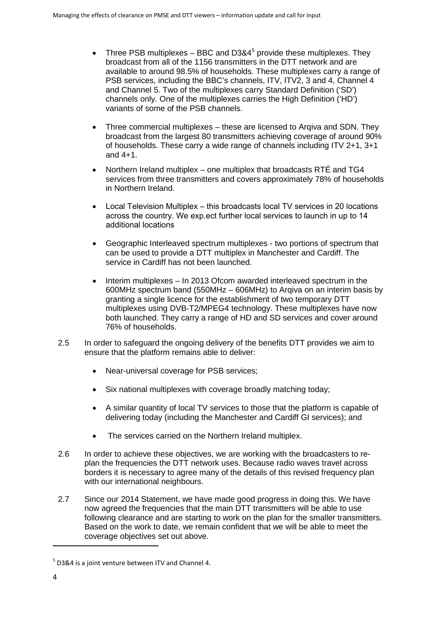- Three PSB multiplexes BBC and D3&4<sup>[5](#page-6-0)</sup> provide these multiplexes. They broadcast from all of the 1156 transmitters in the DTT network and are available to around 98.5% of households. These multiplexes carry a range of PSB services, including the BBC's channels, ITV, ITV2, 3 and 4, Channel 4 and Channel 5. Two of the multiplexes carry Standard Definition ('SD') channels only. One of the multiplexes carries the High Definition ('HD') variants of some of the PSB channels.
- Three commercial multiplexes these are licensed to Argiva and SDN. They broadcast from the largest 80 transmitters achieving coverage of around 90% of households. These carry a wide range of channels including ITV 2+1, 3+1 and 4+1.
- Northern Ireland multiplex one multiplex that broadcasts RTÉ and TG4 services from three transmitters and covers approximately 78% of households in Northern Ireland.
- Local Television Multiplex this broadcasts local TV services in 20 locations across the country. We exp.ect further local services to launch in up to 14 additional locations
- Geographic Interleaved spectrum multiplexes two portions of spectrum that can be used to provide a DTT multiplex in Manchester and Cardiff. The service in Cardiff has not been launched.
- Interim multiplexes In 2013 Ofcom awarded interleaved spectrum in the 600MHz spectrum band (550MHz – 606MHz) to Arqiva on an interim basis by granting a single licence for the establishment of two temporary DTT multiplexes using DVB-T2/MPEG4 technology. These multiplexes have now both launched. They carry a range of HD and SD services and cover around 76% of households.
- 2.5 In order to safeguard the ongoing delivery of the benefits DTT provides we aim to ensure that the platform remains able to deliver:
	- Near-universal coverage for PSB services;
	- Six national multiplexes with coverage broadly matching today;
	- A similar quantity of local TV services to those that the platform is capable of delivering today (including the Manchester and Cardiff GI services); and
	- The services carried on the Northern Ireland multiplex.
- 2.6 In order to achieve these objectives, we are working with the broadcasters to replan the frequencies the DTT network uses. Because radio waves travel across borders it is necessary to agree many of the details of this revised frequency plan with our international neighbours.
- 2.7 Since our 2014 Statement, we have made good progress in doing this. We have now agreed the frequencies that the main DTT transmitters will be able to use following clearance and are starting to work on the plan for the smaller transmitters. Based on the work to date, we remain confident that we will be able to meet the coverage objectives set out above.

<span id="page-6-0"></span> $5$  D3&4 is a joint venture between ITV and Channel 4.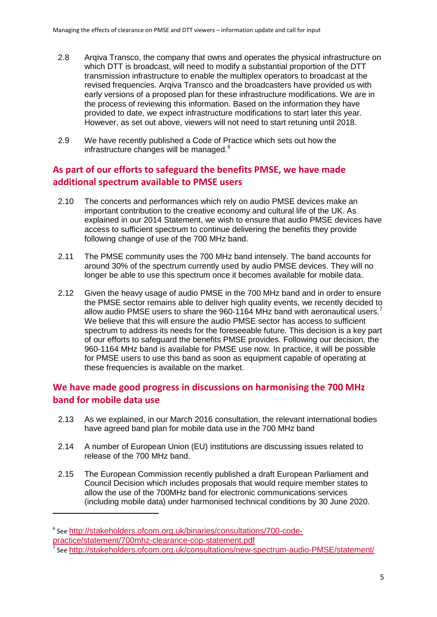- 2.8 Arqiva Transco, the company that owns and operates the physical infrastructure on which DTT is broadcast, will need to modify a substantial proportion of the DTT transmission infrastructure to enable the multiplex operators to broadcast at the revised frequencies. Arqiva Transco and the broadcasters have provided us with early versions of a proposed plan for these infrastructure modifications. We are in the process of reviewing this information. Based on the information they have provided to date, we expect infrastructure modifications to start later this year. However, as set out above, viewers will not need to start retuning until 2018.
- 2.9 We have recently published a Code of Practice which sets out how the infrastructure changes will be managed.<sup>[6](#page-7-0)</sup>

### **As part of our efforts to safeguard the benefits PMSE, we have made additional spectrum available to PMSE users**

- 2.10 The concerts and performances which rely on audio PMSE devices make an important contribution to the creative economy and cultural life of the UK. As explained in our 2014 Statement, we wish to ensure that audio PMSE devices have access to sufficient spectrum to continue delivering the benefits they provide following change of use of the 700 MHz band.
- 2.11 The PMSE community uses the 700 MHz band intensely. The band accounts for around 30% of the spectrum currently used by audio PMSE devices. They will no longer be able to use this spectrum once it becomes available for mobile data.
- 2.12 Given the heavy usage of audio PMSE in the 700 MHz band and in order to ensure the PMSE sector remains able to deliver high quality events, we recently decided to allow audio PMSE users to share the 960-1164 MHz band with aeronautical users.[7](#page-7-1) We believe that this will ensure the audio PMSE sector has access to sufficient spectrum to address its needs for the foreseeable future. This decision is a key part of our efforts to safeguard the benefits PMSE provides. Following our decision, the 960-1164 MHz band is available for PMSE use now. In practice, it will be possible for PMSE users to use this band as soon as equipment capable of operating at these frequencies is available on the market.

## **We have made good progress in discussions on harmonising the 700 MHz band for mobile data use**

- 2.13 As we explained, in our March 2016 consultation, the relevant international bodies have agreed band plan for mobile data use in the 700 MHz band
- 2.14 A number of European Union (EU) institutions are discussing issues related to release of the 700 MHz band.
- 2.15 The European Commission recently published a draft European Parliament and Council Decision which includes proposals that would require member states to allow the use of the 700MHz band for electronic communications services (including mobile data) under harmonised technical conditions by 30 June 2020.

<span id="page-7-1"></span><span id="page-7-0"></span><sup>&</sup>lt;sup>6</sup> See http://stakeholders.ofcom.org.uk/binaries/consultations/700-code-<br>practice/statement/700mhz-clearance-cop-statement.pdf  $\sigma$  see <http://stakeholders.ofcom.org.uk/consultations/new-spectrum-audio-PMSE/statement/>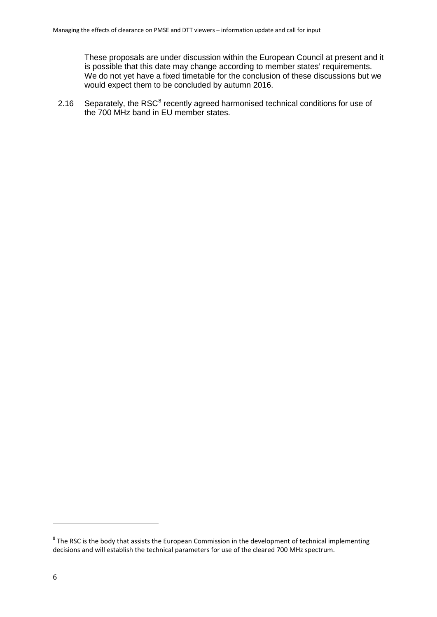These proposals are under discussion within the European Council at present and it is possible that this date may change according to member states' requirements. We do not yet have a fixed timetable for the conclusion of these discussions but we would expect them to be concluded by autumn 2016.

2.16 Separately, the RSC<sup>[8](#page-8-0)</sup> recently agreed harmonised technical conditions for use of the 700 MHz band in EU member states.

<span id="page-8-0"></span> $8$  The RSC is the body that assists the European Commission in the development of technical implementing decisions and will establish the technical parameters for use of the cleared 700 MHz spectrum.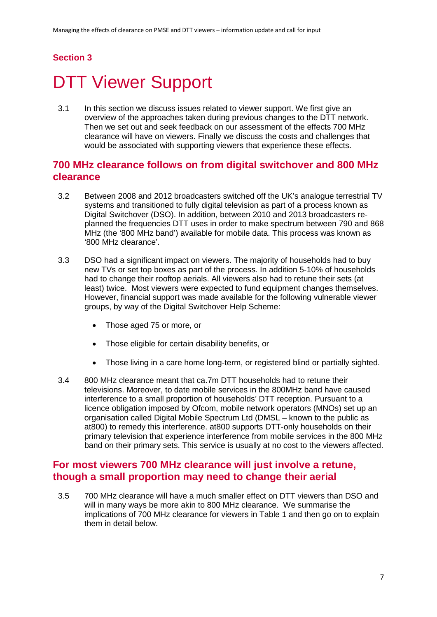### **Section 3**

# <span id="page-9-0"></span>DTT Viewer Support

3.1 In this section we discuss issues related to viewer support. We first give an overview of the approaches taken during previous changes to the DTT network. Then we set out and seek feedback on our assessment of the effects 700 MHz clearance will have on viewers. Finally we discuss the costs and challenges that would be associated with supporting viewers that experience these effects.

### **700 MHz clearance follows on from digital switchover and 800 MHz clearance**

- 3.2 Between 2008 and 2012 broadcasters switched off the UK's analogue terrestrial TV systems and transitioned to fully digital television as part of a process known as Digital Switchover (DSO). In addition, between 2010 and 2013 broadcasters replanned the frequencies DTT uses in order to make spectrum between 790 and 868 MHz (the '800 MHz band') available for mobile data. This process was known as '800 MHz clearance'.
- 3.3 DSO had a significant impact on viewers. The majority of households had to buy new TVs or set top boxes as part of the process. In addition 5-10% of households had to change their rooftop aerials. All viewers also had to retune their sets (at least) twice. Most viewers were expected to fund equipment changes themselves. However, financial support was made available for the following vulnerable viewer groups, by way of the Digital Switchover Help Scheme:
	- Those aged 75 or more, or
	- Those eligible for certain disability benefits, or
	- Those living in a care home long-term, or registered blind or partially sighted.
- 3.4 800 MHz clearance meant that ca.7m DTT households had to retune their televisions. Moreover, to date mobile services in the 800MHz band have caused interference to a small proportion of households' DTT reception. Pursuant to a licence obligation imposed by Ofcom, mobile network operators (MNOs) set up an organisation called Digital Mobile Spectrum Ltd (DMSL – known to the public as at800) to remedy this interference. at800 supports DTT-only households on their primary television that experience interference from mobile services in the 800 MHz band on their primary sets. This service is usually at no cost to the viewers affected.

## **For most viewers 700 MHz clearance will just involve a retune, though a small proportion may need to change their aerial**

3.5 700 MHz clearance will have a much smaller effect on DTT viewers than DSO and will in many ways be more akin to 800 MHz clearance. We summarise the implications of 700 MHz clearance for viewers in [Table 1](#page-10-0) and then go on to explain them in detail below.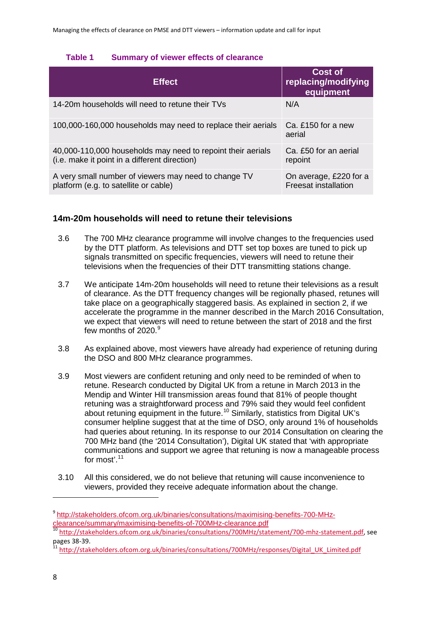### <span id="page-10-0"></span>**Table 1 Summary of viewer effects of clearance**

| <b>Effect</b>                                                                                                | <b>Cost of</b><br>replacing/modifying<br>equipment    |
|--------------------------------------------------------------------------------------------------------------|-------------------------------------------------------|
| 14-20m households will need to retune their TVs                                                              | N/A                                                   |
| 100,000-160,000 households may need to replace their aerials                                                 | Ca. £150 for a new<br>aerial                          |
| 40,000-110,000 households may need to repoint their aerials<br>(i.e. make it point in a different direction) | Ca. £50 for an aerial<br>repoint                      |
| A very small number of viewers may need to change TV<br>platform (e.g. to satellite or cable)                | On average, £220 for a<br><b>Freesat installation</b> |

### **14m-20m households will need to retune their televisions**

- 3.6 The 700 MHz clearance programme will involve changes to the frequencies used by the DTT platform. As televisions and DTT set top boxes are tuned to pick up signals transmitted on specific frequencies, viewers will need to retune their televisions when the frequencies of their DTT transmitting stations change.
- 3.7 We anticipate 14m-20m households will need to retune their televisions as a result of clearance. As the DTT frequency changes will be regionally phased, retunes will take place on a geographically staggered basis. As explained in section 2, if we accelerate the programme in the manner described in the March 2016 Consultation, we expect that viewers will need to retune between the start of 2018 and the first few months of 2020. [9](#page-10-1)
- 3.8 As explained above, most viewers have already had experience of retuning during the DSO and 800 MHz clearance programmes.
- 3.9 Most viewers are confident retuning and only need to be reminded of when to retune. Research conducted by Digital UK from a retune in March 2013 in the Mendip and Winter Hill transmission areas found that 81% of people thought retuning was a straightforward process and 79% said they would feel confident about retuning equipment in the future.<sup>[10](#page-10-2)</sup> Similarly, statistics from Digital UK's consumer helpline suggest that at the time of DSO, only around 1% of households had queries about retuning. In its response to our 2014 Consultation on clearing the 700 MHz band (the '2014 Consultation'), Digital UK stated that 'with appropriate communications and support we agree that retuning is now a manageable process for most'.<sup>[11](#page-10-3)</sup>
- 3.10 All this considered, we do not believe that retuning will cause inconvenience to viewers, provided they receive adequate information about the change.

 $\overline{a}$ 

<sup>9</sup> [http://stakeholders.ofcom.org.uk/binaries/consultations/maximising-benefits-700-MHz-](http://stakeholders.ofcom.org.uk/binaries/consultations/maximising-benefits-700-MHz-clearance/summary/maximising-benefits-of-700MHz-clearance.pdf)

<span id="page-10-2"></span><span id="page-10-1"></span>[clearance/summary/maximising-benefits-of-700MHz-clearance.pdf](http://stakeholders.ofcom.org.uk/binaries/consultations/maximising-benefits-700-MHz-clearance/summary/maximising-benefits-of-700MHz-clearance.pdf)<br>
<sup>10</sup> [http://stakeholders.ofcom.org.uk/binaries/consultations/700MHz/statement/700-mhz-statement.pdf,](http://stakeholders.ofcom.org.uk/binaries/consultations/700MHz/statement/700-mhz-statement.pdf) see<br>
pages 38-39.

<span id="page-10-3"></span><sup>&</sup>lt;sup>11</sup> http://stakeholders.ofcom.org.uk/binaries/consultations/700MHz/responses/Digital\_UK\_Limited.pdf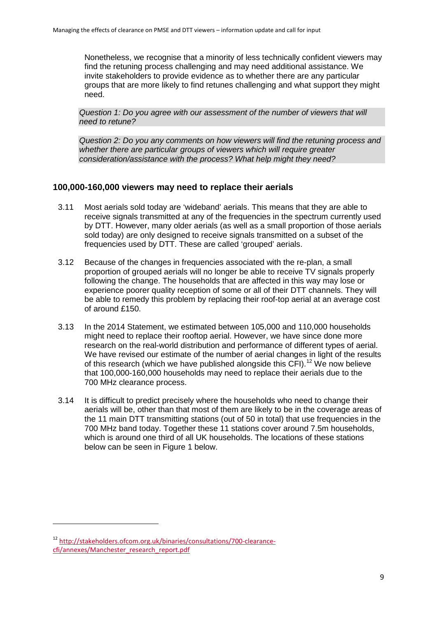Nonetheless, we recognise that a minority of less technically confident viewers may find the retuning process challenging and may need additional assistance. We invite stakeholders to provide evidence as to whether there are any particular groups that are more likely to find retunes challenging and what support they might need.

*Question 1: Do you agree with our assessment of the number of viewers that will need to retune?*

*Question 2: Do you any comments on how viewers will find the retuning process and whether there are particular groups of viewers which will require greater consideration/assistance with the process? What help might they need?*

### **100,000-160,000 viewers may need to replace their aerials**

- 3.11 Most aerials sold today are 'wideband' aerials. This means that they are able to receive signals transmitted at any of the frequencies in the spectrum currently used by DTT. However, many older aerials (as well as a small proportion of those aerials sold today) are only designed to receive signals transmitted on a subset of the frequencies used by DTT. These are called 'grouped' aerials.
- 3.12 Because of the changes in frequencies associated with the re-plan, a small proportion of grouped aerials will no longer be able to receive TV signals properly following the change. The households that are affected in this way may lose or experience poorer quality reception of some or all of their DTT channels. They will be able to remedy this problem by replacing their roof-top aerial at an average cost of around £150.
- 3.13 In the 2014 Statement, we estimated between 105,000 and 110,000 households might need to replace their rooftop aerial. However, we have since done more research on the real-world distribution and performance of different types of aerial. We have revised our estimate of the number of aerial changes in light of the results of this research (which we have published alongside this  $CFI$ ).<sup>[12](#page-11-0)</sup> We now believe that 100,000-160,000 households may need to replace their aerials due to the 700 MHz clearance process.
- 3.14 It is difficult to predict precisely where the households who need to change their aerials will be, other than that most of them are likely to be in the coverage areas of the 11 main DTT transmitting stations (out of 50 in total) that use frequencies in the 700 MHz band today. Together these 11 stations cover around 7.5m households, which is around one third of all UK households. The locations of these stations below can be seen in [Figure 1](#page-12-0) below.

<span id="page-11-0"></span><sup>12</sup> [http://stakeholders.ofcom.org.uk/binaries/consultations/700-clearance](http://stakeholders.ofcom.org.uk/binaries/consultations/700-clearance-cfi/annexes/Manchester_research_report.pdf)[cfi/annexes/Manchester\\_research\\_report.pdf](http://stakeholders.ofcom.org.uk/binaries/consultations/700-clearance-cfi/annexes/Manchester_research_report.pdf)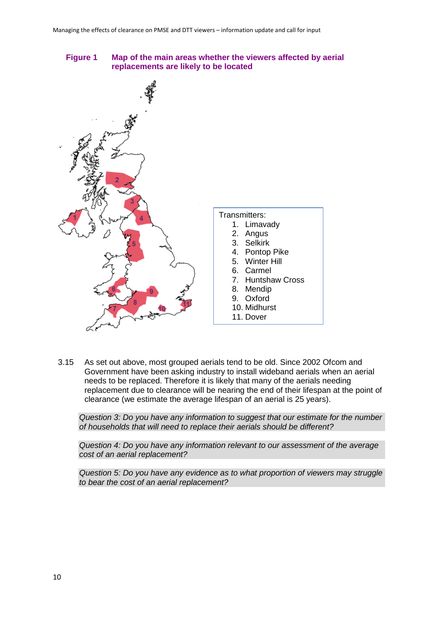

<span id="page-12-0"></span>**Figure 1 Map of the main areas whether the viewers affected by aerial replacements are likely to be located**

3.15 As set out above, most grouped aerials tend to be old. Since 2002 Ofcom and Government have been asking industry to install wideband aerials when an aerial needs to be replaced. Therefore it is likely that many of the aerials needing replacement due to clearance will be nearing the end of their lifespan at the point of clearance (we estimate the average lifespan of an aerial is 25 years).

*Question 3: Do you have any information to suggest that our estimate for the number of households that will need to replace their aerials should be different?*

*Question 4: Do you have any information relevant to our assessment of the average cost of an aerial replacement?*

*Question 5: Do you have any evidence as to what proportion of viewers may struggle to bear the cost of an aerial replacement?*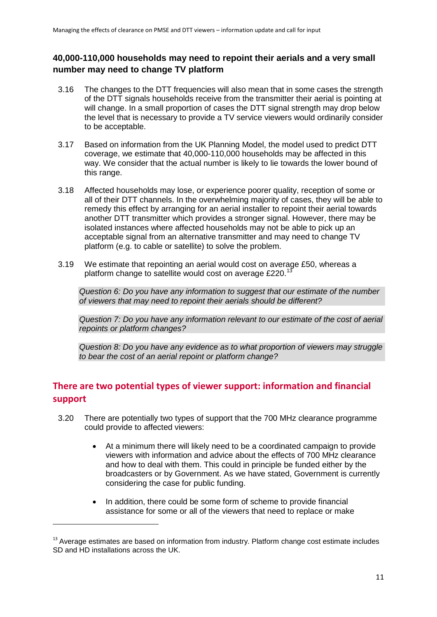### **40,000-110,000 households may need to repoint their aerials and a very small number may need to change TV platform**

- 3.16 The changes to the DTT frequencies will also mean that in some cases the strength of the DTT signals households receive from the transmitter their aerial is pointing at will change. In a small proportion of cases the DTT signal strength may drop below the level that is necessary to provide a TV service viewers would ordinarily consider to be acceptable.
- 3.17 Based on information from the UK Planning Model, the model used to predict DTT coverage, we estimate that 40,000-110,000 households may be affected in this way. We consider that the actual number is likely to lie towards the lower bound of this range.
- 3.18 Affected households may lose, or experience poorer quality, reception of some or all of their DTT channels. In the overwhelming majority of cases, they will be able to remedy this effect by arranging for an aerial installer to repoint their aerial towards another DTT transmitter which provides a stronger signal. However, there may be isolated instances where affected households may not be able to pick up an acceptable signal from an alternative transmitter and may need to change TV platform (e.g. to cable or satellite) to solve the problem.
- 3.19 We estimate that repointing an aerial would cost on average £50, whereas a platform change to satellite would cost on average £220.<sup>[13](#page-13-0)</sup>

*Question 6: Do you have any information to suggest that our estimate of the number of viewers that may need to repoint their aerials should be different?*

*Question 7: Do you have any information relevant to our estimate of the cost of aerial repoints or platform changes?*

*Question 8: Do you have any evidence as to what proportion of viewers may struggle to bear the cost of an aerial repoint or platform change?*

## **There are two potential types of viewer support: information and financial support**

- 3.20 There are potentially two types of support that the 700 MHz clearance programme could provide to affected viewers:
	- At a minimum there will likely need to be a coordinated campaign to provide viewers with information and advice about the effects of 700 MHz clearance and how to deal with them. This could in principle be funded either by the broadcasters or by Government. As we have stated, Government is currently considering the case for public funding.
	- In addition, there could be some form of scheme to provide financial assistance for some or all of the viewers that need to replace or make

<span id="page-13-0"></span> $13$  Average estimates are based on information from industry. Platform change cost estimate includes SD and HD installations across the UK.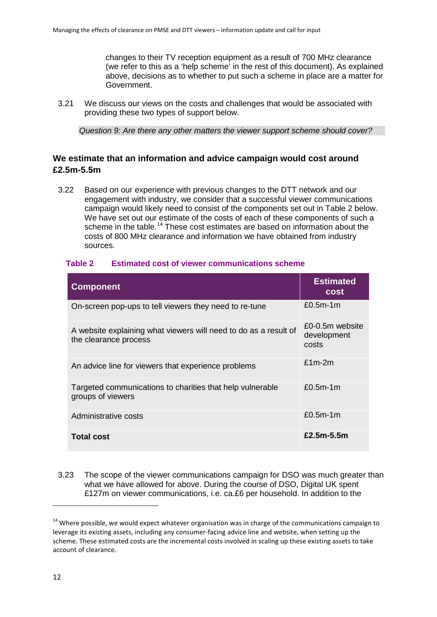changes to their TV reception equipment as a result of 700 MHz clearance (we refer to this as a 'help scheme' in the rest of this document). As explained above, decisions as to whether to put such a scheme in place are a matter for Government.

3.21 We discuss our views on the costs and challenges that would be associated with providing these two types of support below.

*Question 9: Are there any other matters the viewer support scheme should cover?* 

### **We estimate that an information and advice campaign would cost around £2.5m-5.5m**

3.22 Based on our experience with previous changes to the DTT network and our engagement with industry, we consider that a successful viewer communications campaign would likely need to consist of the components set out in [Table 2](#page-14-0) below. We have set out our estimate of the costs of each of these components of such a scheme in the table.<sup>[14](#page-14-1)</sup> These cost estimates are based on information about the costs of 800 MHz clearance and information we have obtained from industry sources.

| <b>Component</b>                                                                          | <b>Estimated</b><br><b>cost</b>         |
|-------------------------------------------------------------------------------------------|-----------------------------------------|
| On-screen pop-ups to tell viewers they need to re-tune                                    | $£0.5m-1m$                              |
| A website explaining what viewers will need to do as a result of<br>the clearance process | £0-0.5m website<br>development<br>costs |
| An advice line for viewers that experience problems                                       | $£1m-2m$                                |
| Targeted communications to charities that help vulnerable<br>groups of viewers            | $£0.5m-1m$                              |
| Administrative costs                                                                      | $£0.5m-1m$                              |
| <b>Total cost</b>                                                                         | $£2.5m-5.5m$                            |

#### <span id="page-14-0"></span>**Table 2 Estimated cost of viewer communications scheme**

3.23 The scope of the viewer communications campaign for DSO was much greater than what we have allowed for above. During the course of DSO, Digital UK spent £127m on viewer communications, i.e. ca.£6 per household. In addition to the

<span id="page-14-1"></span><sup>&</sup>lt;sup>14</sup> Where possible, we would expect whatever organisation was in charge of the communications campaign to leverage its existing assets, including any consumer-facing advice line and website, when setting up the scheme. These estimated costs are the incremental costs involved in scaling up these existing assets to take account of clearance.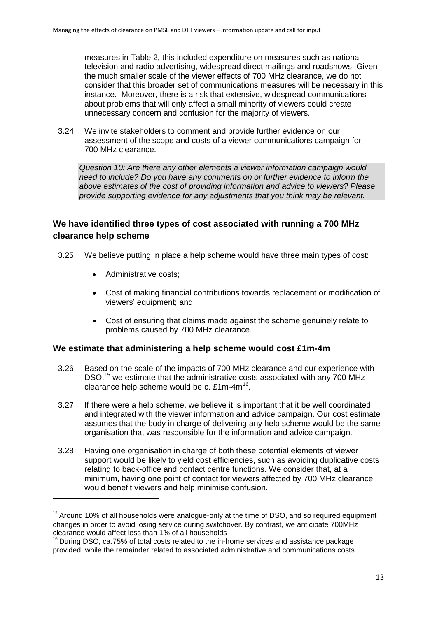measures in [Table 2,](#page-14-0) this included expenditure on measures such as national television and radio advertising, widespread direct mailings and roadshows. Given the much smaller scale of the viewer effects of 700 MHz clearance, we do not consider that this broader set of communications measures will be necessary in this instance. Moreover, there is a risk that extensive, widespread communications about problems that will only affect a small minority of viewers could create unnecessary concern and confusion for the majority of viewers.

3.24 We invite stakeholders to comment and provide further evidence on our assessment of the scope and costs of a viewer communications campaign for 700 MHz clearance.

*Question 10: Are there any other elements a viewer information campaign would need to include? Do you have any comments on or further evidence to inform the above estimates of the cost of providing information and advice to viewers? Please provide supporting evidence for any adjustments that you think may be relevant.*

### **We have identified three types of cost associated with running a 700 MHz clearance help scheme**

- 3.25 We believe putting in place a help scheme would have three main types of cost:
	- Administrative costs:

1

- Cost of making financial contributions towards replacement or modification of viewers' equipment; and
- Cost of ensuring that claims made against the scheme genuinely relate to problems caused by 700 MHz clearance.

#### **We estimate that administering a help scheme would cost £1m-4m**

- 3.26 Based on the scale of the impacts of 700 MHz clearance and our experience with DSO,<sup>[15](#page-15-0)</sup> we estimate that the administrative costs associated with any 700 MHz clearance help scheme would be c.  $£1m-4m^{16}$ .
- 3.27 If there were a help scheme, we believe it is important that it be well coordinated and integrated with the viewer information and advice campaign. Our cost estimate assumes that the body in charge of delivering any help scheme would be the same organisation that was responsible for the information and advice campaign.
- 3.28 Having one organisation in charge of both these potential elements of viewer support would be likely to yield cost efficiencies, such as avoiding duplicative costs relating to back-office and contact centre functions. We consider that, at a minimum, having one point of contact for viewers affected by 700 MHz clearance would benefit viewers and help minimise confusion.

<span id="page-15-0"></span><sup>&</sup>lt;sup>15</sup> Around 10% of all households were analogue-only at the time of DSO, and so required equipment changes in order to avoid losing service during switchover. By contrast, we anticipate 700MHz clearance would affect less than 1% of all households

<span id="page-15-1"></span> $16$  During DSO, ca.75% of total costs related to the in-home services and assistance package provided, while the remainder related to associated administrative and communications costs.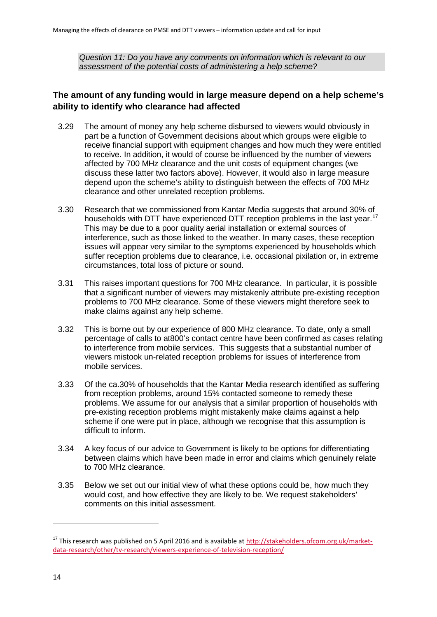*Question 11: Do you have any comments on information which is relevant to our assessment of the potential costs of administering a help scheme?*

### **The amount of any funding would in large measure depend on a help scheme's ability to identify who clearance had affected**

- 3.29 The amount of money any help scheme disbursed to viewers would obviously in part be a function of Government decisions about which groups were eligible to receive financial support with equipment changes and how much they were entitled to receive. In addition, it would of course be influenced by the number of viewers affected by 700 MHz clearance and the unit costs of equipment changes (we discuss these latter two factors above). However, it would also in large measure depend upon the scheme's ability to distinguish between the effects of 700 MHz clearance and other unrelated reception problems.
- 3.30 Research that we commissioned from Kantar Media suggests that around 30% of households with DTT have experienced DTT reception problems in the last year.<sup>[17](#page-16-0)</sup> This may be due to a poor quality aerial installation or external sources of interference, such as those linked to the weather. In many cases, these reception issues will appear very similar to the symptoms experienced by households which suffer reception problems due to clearance, i.e. occasional pixilation or, in extreme circumstances, total loss of picture or sound.
- 3.31 This raises important questions for 700 MHz clearance. In particular, it is possible that a significant number of viewers may mistakenly attribute pre-existing reception problems to 700 MHz clearance. Some of these viewers might therefore seek to make claims against any help scheme.
- 3.32 This is borne out by our experience of 800 MHz clearance. To date, only a small percentage of calls to at800's contact centre have been confirmed as cases relating to interference from mobile services. This suggests that a substantial number of viewers mistook un-related reception problems for issues of interference from mobile services.
- 3.33 Of the ca.30% of households that the Kantar Media research identified as suffering from reception problems, around 15% contacted someone to remedy these problems. We assume for our analysis that a similar proportion of households with pre-existing reception problems might mistakenly make claims against a help scheme if one were put in place, although we recognise that this assumption is difficult to inform.
- 3.34 A key focus of our advice to Government is likely to be options for differentiating between claims which have been made in error and claims which genuinely relate to 700 MHz clearance.
- 3.35 Below we set out our initial view of what these options could be, how much they would cost, and how effective they are likely to be. We request stakeholders' comments on this initial assessment.

<span id="page-16-0"></span><sup>&</sup>lt;sup>17</sup> This research was published on 5 April 2016 and is available a[t http://stakeholders.ofcom.org.uk/market](http://stakeholders.ofcom.org.uk/market-data-research/other/tv-research/viewers-experience-of-television-reception/)[data-research/other/tv-research/viewers-experience-of-television-reception/](http://stakeholders.ofcom.org.uk/market-data-research/other/tv-research/viewers-experience-of-television-reception/)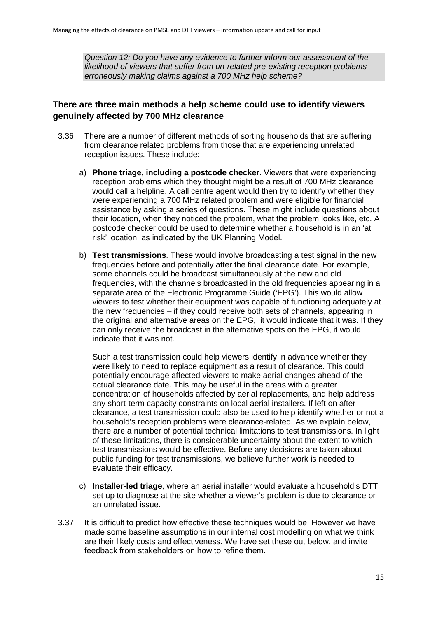*Question 12: Do you have any evidence to further inform our assessment of the likelihood of viewers that suffer from un-related pre-existing reception problems erroneously making claims against a 700 MHz help scheme?*

### **There are three main methods a help scheme could use to identify viewers genuinely affected by 700 MHz clearance**

- 3.36 There are a number of different methods of sorting households that are suffering from clearance related problems from those that are experiencing unrelated reception issues. These include:
	- a) **Phone triage, including a postcode checker**. Viewers that were experiencing reception problems which they thought might be a result of 700 MHz clearance would call a helpline. A call centre agent would then try to identify whether they were experiencing a 700 MHz related problem and were eligible for financial assistance by asking a series of questions. These might include questions about their location, when they noticed the problem, what the problem looks like, etc. A postcode checker could be used to determine whether a household is in an 'at risk' location, as indicated by the UK Planning Model.
	- b) **Test transmissions**. These would involve broadcasting a test signal in the new frequencies before and potentially after the final clearance date. For example, some channels could be broadcast simultaneously at the new and old frequencies, with the channels broadcasted in the old frequencies appearing in a separate area of the Electronic Programme Guide ('EPG'). This would allow viewers to test whether their equipment was capable of functioning adequately at the new frequencies – if they could receive both sets of channels, appearing in the original and alternative areas on the EPG, it would indicate that it was. If they can only receive the broadcast in the alternative spots on the EPG, it would indicate that it was not.

Such a test transmission could help viewers identify in advance whether they were likely to need to replace equipment as a result of clearance. This could potentially encourage affected viewers to make aerial changes ahead of the actual clearance date. This may be useful in the areas with a greater concentration of households affected by aerial replacements, and help address any short-term capacity constraints on local aerial installers. If left on after clearance, a test transmission could also be used to help identify whether or not a household's reception problems were clearance-related. As we explain below, there are a number of potential technical limitations to test transmissions. In light of these limitations, there is considerable uncertainty about the extent to which test transmissions would be effective. Before any decisions are taken about public funding for test transmissions, we believe further work is needed to evaluate their efficacy.

- c) **Installer-led triage**, where an aerial installer would evaluate a household's DTT set up to diagnose at the site whether a viewer's problem is due to clearance or an unrelated issue.
- 3.37 It is difficult to predict how effective these techniques would be. However we have made some baseline assumptions in our internal cost modelling on what we think are their likely costs and effectiveness. We have set these out below, and invite feedback from stakeholders on how to refine them.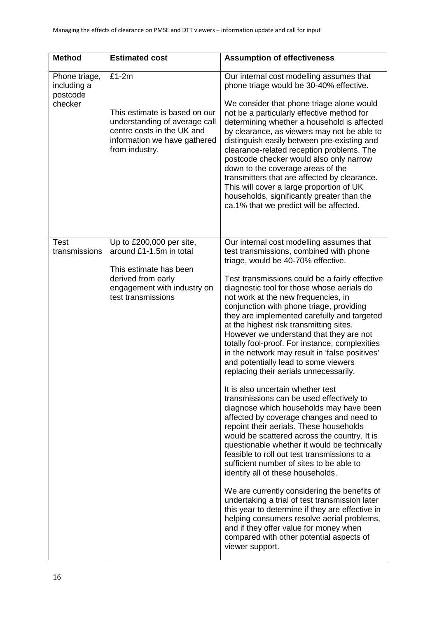| <b>Method</b>                                       | <b>Estimated cost</b>                                                                                                                                     | <b>Assumption of effectiveness</b>                                                                                                                                                                                                                                                                                                                                                                                                                                                                                                                                                                                                                                                                                                                                                                                                                                                                                                                                                                                                                                                                                                                                                                                                                                                                                                                                                                      |
|-----------------------------------------------------|-----------------------------------------------------------------------------------------------------------------------------------------------------------|---------------------------------------------------------------------------------------------------------------------------------------------------------------------------------------------------------------------------------------------------------------------------------------------------------------------------------------------------------------------------------------------------------------------------------------------------------------------------------------------------------------------------------------------------------------------------------------------------------------------------------------------------------------------------------------------------------------------------------------------------------------------------------------------------------------------------------------------------------------------------------------------------------------------------------------------------------------------------------------------------------------------------------------------------------------------------------------------------------------------------------------------------------------------------------------------------------------------------------------------------------------------------------------------------------------------------------------------------------------------------------------------------------|
| Phone triage,<br>including a<br>postcode<br>checker | $£1-2m$<br>This estimate is based on our<br>understanding of average call<br>centre costs in the UK and<br>information we have gathered<br>from industry. | Our internal cost modelling assumes that<br>phone triage would be 30-40% effective.<br>We consider that phone triage alone would<br>not be a particularly effective method for<br>determining whether a household is affected<br>by clearance, as viewers may not be able to<br>distinguish easily between pre-existing and<br>clearance-related reception problems. The<br>postcode checker would also only narrow<br>down to the coverage areas of the<br>transmitters that are affected by clearance.<br>This will cover a large proportion of UK<br>households, significantly greater than the<br>ca.1% that we predict will be affected.                                                                                                                                                                                                                                                                                                                                                                                                                                                                                                                                                                                                                                                                                                                                                           |
| <b>Test</b><br>transmissions                        | Up to £200,000 per site,<br>around £1-1.5m in total<br>This estimate has been<br>derived from early<br>engagement with industry on<br>test transmissions  | Our internal cost modelling assumes that<br>test transmissions, combined with phone<br>triage, would be 40-70% effective.<br>Test transmissions could be a fairly effective<br>diagnostic tool for those whose aerials do<br>not work at the new frequencies, in<br>conjunction with phone triage, providing<br>they are implemented carefully and targeted<br>at the highest risk transmitting sites.<br>However we understand that they are not<br>totally fool-proof. For instance, complexities<br>in the network may result in 'false positives'<br>and potentially lead to some viewers<br>replacing their aerials unnecessarily.<br>It is also uncertain whether test<br>transmissions can be used effectively to<br>diagnose which households may have been<br>affected by coverage changes and need to<br>repoint their aerials. These households<br>would be scattered across the country. It is<br>questionable whether it would be technically<br>feasible to roll out test transmissions to a<br>sufficient number of sites to be able to<br>identify all of these households.<br>We are currently considering the benefits of<br>undertaking a trial of test transmission later<br>this year to determine if they are effective in<br>helping consumers resolve aerial problems,<br>and if they offer value for money when<br>compared with other potential aspects of<br>viewer support. |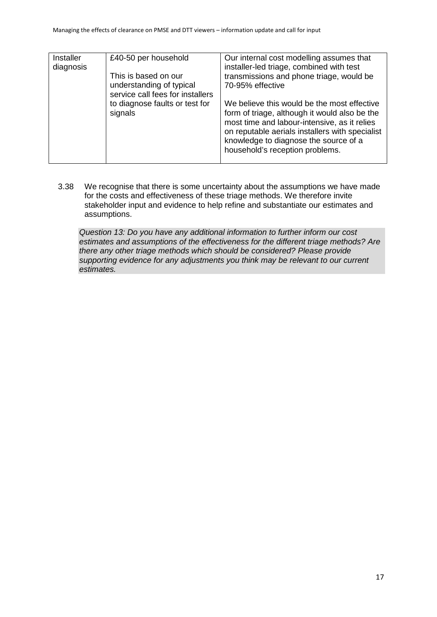| Installer<br>diagnosis | £40-50 per household<br>This is based on our<br>understanding of typical<br>service call fees for installers<br>to diagnose faults or test for<br>signals | Our internal cost modelling assumes that<br>installer-led triage, combined with test<br>transmissions and phone triage, would be<br>70-95% effective<br>We believe this would be the most effective<br>form of triage, although it would also be the<br>most time and labour-intensive, as it relies<br>on reputable aerials installers with specialist<br>knowledge to diagnose the source of a<br>household's reception problems. |
|------------------------|-----------------------------------------------------------------------------------------------------------------------------------------------------------|-------------------------------------------------------------------------------------------------------------------------------------------------------------------------------------------------------------------------------------------------------------------------------------------------------------------------------------------------------------------------------------------------------------------------------------|
|                        |                                                                                                                                                           |                                                                                                                                                                                                                                                                                                                                                                                                                                     |

3.38 We recognise that there is some uncertainty about the assumptions we have made for the costs and effectiveness of these triage methods. We therefore invite stakeholder input and evidence to help refine and substantiate our estimates and assumptions.

*Question 13: Do you have any additional information to further inform our cost estimates and assumptions of the effectiveness for the different triage methods? Are there any other triage methods which should be considered? Please provide supporting evidence for any adjustments you think may be relevant to our current estimates.*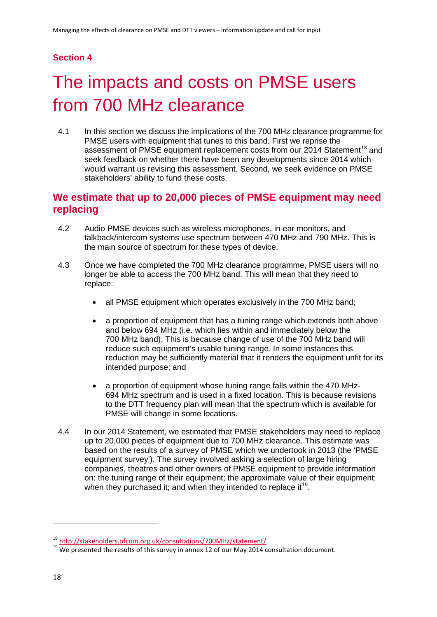### **Section 4**

# <span id="page-20-0"></span>The impacts and costs on PMSE users from 700 MHz clearance

4.1 In this section we discuss the implications of the 700 MHz clearance programme for PMSE users with equipment that tunes to this band. First we reprise the assessment of PMSE equipment replacement costs from our 2014 Statement<sup>[18](#page-20-1)</sup> and seek feedback on whether there have been any developments since 2014 which would warrant us revising this assessment. Second, we seek evidence on PMSE stakeholders' ability to fund these costs.

## **We estimate that up to 20,000 pieces of PMSE equipment may need replacing**

- 4.2 Audio PMSE devices such as wireless microphones, in ear monitors, and talkback/intercom systems use spectrum between 470 MHz and 790 MHz. This is the main source of spectrum for these types of device.
- 4.3 Once we have completed the 700 MHz clearance programme, PMSE users will no longer be able to access the 700 MHz band. This will mean that they need to replace:
	- all PMSE equipment which operates exclusively in the 700 MHz band;
	- a proportion of equipment that has a tuning range which extends both above and below 694 MHz (i.e. which lies within and immediately below the 700 MHz band). This is because change of use of the 700 MHz band will reduce such equipment's usable tuning range. In some instances this reduction may be sufficiently material that it renders the equipment unfit for its intended purpose; and
	- a proportion of equipment whose tuning range falls within the 470 MHz-694 MHz spectrum and is used in a fixed location. This is because revisions to the DTT frequency plan will mean that the spectrum which is available for PMSE will change in some locations.
- 4.4 In our 2014 Statement, we estimated that PMSE stakeholders may need to replace up to 20,000 pieces of equipment due to 700 MHz clearance. This estimate was based on the results of a survey of PMSE which we undertook in 2013 (the 'PMSE equipment survey'). The survey involved asking a selection of large hiring companies, theatres and other owners of PMSE equipment to provide information on: the tuning range of their equipment; the approximate value of their equipment; when they purchased it; and when they intended to replace it<sup>[19](#page-20-2)</sup>.

<span id="page-20-2"></span><span id="page-20-1"></span> $18 \frac{\text{http://stakeholders.ofcom.org.uk/consultations/700MHz/statement/}}{19}$  $18 \frac{\text{http://stakeholders.ofcom.org.uk/consultations/700MHz/statement/}}{19}$  $18 \frac{\text{http://stakeholders.ofcom.org.uk/consultations/700MHz/statement/}}{19}$ <br>
<sup>19</sup> We presented the results of this survey in annex 12 of our May 2014 consultation document.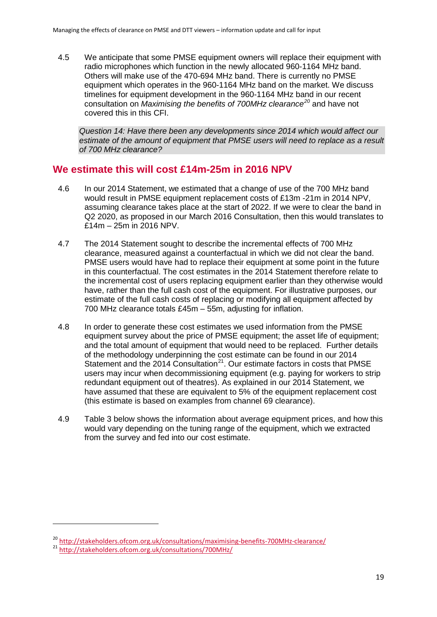4.5 We anticipate that some PMSE equipment owners will replace their equipment with radio microphones which function in the newly allocated 960-1164 MHz band. Others will make use of the 470-694 MHz band. There is currently no PMSE equipment which operates in the 960-1164 MHz band on the market. We discuss timelines for equipment development in the 960-1164 MHz band in our recent consultation on *Maximising the benefits of 700MHz clearance[20](#page-21-1)* and have not covered this in this CFI.

*Question 14: Have there been any developments since 2014 which would affect our estimate of the amount of equipment that PMSE users will need to replace as a result of 700 MHz clearance?*

### **We estimate this will cost £14m-25m in 2016 NPV**

- 4.6 In our 2014 Statement, we estimated that a change of use of the 700 MHz band would result in PMSE equipment replacement costs of £13m -21m in 2014 NPV, assuming clearance takes place at the start of 2022. If we were to clear the band in Q2 2020, as proposed in our March 2016 Consultation, then this would translates to £14m – 25m in 2016 NPV.
- 4.7 The 2014 Statement sought to describe the incremental effects of 700 MHz clearance, measured against a counterfactual in which we did not clear the band. PMSE users would have had to replace their equipment at some point in the future in this counterfactual. The cost estimates in the 2014 Statement therefore relate to the incremental cost of users replacing equipment earlier than they otherwise would have, rather than the full cash cost of the equipment. For illustrative purposes, our estimate of the full cash costs of replacing or modifying all equipment affected by 700 MHz clearance totals £45m – 55m, adjusting for inflation.
- 4.8 In order to generate these cost estimates we used information from the PMSE equipment survey about the price of PMSE equipment; the asset life of equipment; and the total amount of equipment that would need to be replaced. Further details of the methodology underpinning the cost estimate can be found in our 2014 Statement and the 2014 Consultation<sup>21</sup>. Our estimate factors in costs that PMSE users may incur when decommissioning equipment (e.g. paying for workers to strip redundant equipment out of theatres). As explained in our 2014 Statement, we have assumed that these are equivalent to 5% of the equipment replacement cost (this estimate is based on examples from channel 69 clearance).
- <span id="page-21-0"></span>4.9 [Table 3](#page-21-0) below shows the information about average equipment prices, and how this would vary depending on the tuning range of the equipment, which we extracted from the survey and fed into our cost estimate.

<span id="page-21-2"></span><span id="page-21-1"></span><sup>&</sup>lt;sup>20</sup> <http://stakeholders.ofcom.org.uk/consultations/maximising-benefits-700MHz-clearance/><br><sup>21</sup> <http://stakeholders.ofcom.org.uk/consultations/700MHz/>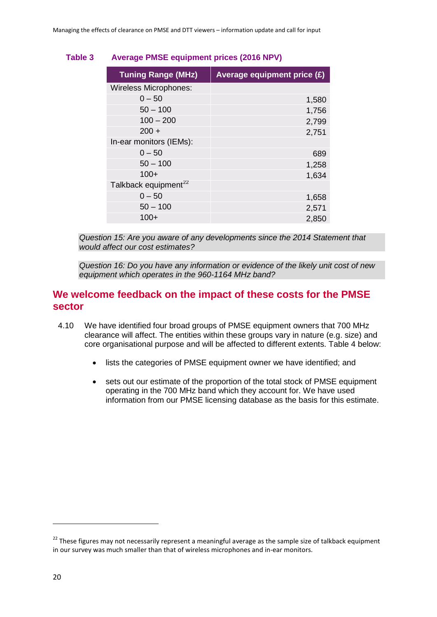### **Table 3 Average PMSE equipment prices (2016 NPV)**

| <b>Tuning Range (MHz)</b>        | Average equipment price (£) |  |
|----------------------------------|-----------------------------|--|
| <b>Wireless Microphones:</b>     |                             |  |
| $0 - 50$                         | 1,580                       |  |
| $50 - 100$                       | 1,756                       |  |
| $100 - 200$                      | 2,799                       |  |
| $200 +$                          | 2,751                       |  |
| In-ear monitors (IEMs):          |                             |  |
| $0 - 50$                         | 689                         |  |
| $50 - 100$                       | 1,258                       |  |
| $100+$                           | 1,634                       |  |
| Talkback equipment <sup>22</sup> |                             |  |
| $0 - 50$                         | 1,658                       |  |
| $50 - 100$                       | 2,571                       |  |
| 100+                             | 2,850                       |  |

*Question 15: Are you aware of any developments since the 2014 Statement that would affect our cost estimates?*

*Question 16: Do you have any information or evidence of the likely unit cost of new equipment which operates in the 960-1164 MHz band?*

### **We welcome feedback on the impact of these costs for the PMSE sector**

- 4.10 We have identified four broad groups of PMSE equipment owners that 700 MHz clearance will affect. The entities within these groups vary in nature (e.g. size) and core organisational purpose and will be affected to different extents. [Table 4](#page-23-0) below:
	- lists the categories of PMSE equipment owner we have identified; and
	- sets out our estimate of the proportion of the total stock of PMSE equipment operating in the 700 MHz band which they account for. We have used information from our PMSE licensing database as the basis for this estimate.

<span id="page-22-0"></span><sup>&</sup>lt;sup>22</sup> These figures may not necessarily represent a meaningful average as the sample size of talkback equipment in our survey was much smaller than that of wireless microphones and in-ear monitors.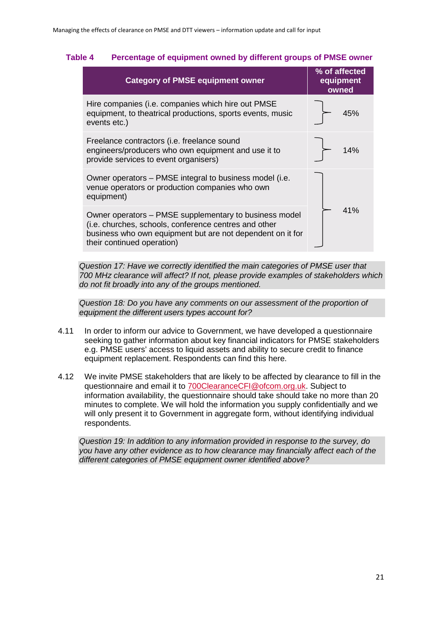#### <span id="page-23-0"></span>**Table 4 Percentage of equipment owned by different groups of PMSE owner**

| <b>Category of PMSE equipment owner</b>                                                                                                                                                                     | % of affected<br>equipment<br>owned |  |
|-------------------------------------------------------------------------------------------------------------------------------------------------------------------------------------------------------------|-------------------------------------|--|
| Hire companies (i.e. companies which hire out PMSE<br>equipment, to theatrical productions, sports events, music<br>events etc.)                                                                            | 45%                                 |  |
| Freelance contractors (i.e. freelance sound<br>engineers/producers who own equipment and use it to<br>provide services to event organisers)                                                                 | 14%                                 |  |
| Owner operators - PMSE integral to business model (i.e.<br>venue operators or production companies who own<br>equipment)                                                                                    |                                     |  |
| Owner operators – PMSE supplementary to business model<br>(i.e. churches, schools, conference centres and other<br>business who own equipment but are not dependent on it for<br>their continued operation) | 41%                                 |  |

*Question 17: Have we correctly identified the main categories of PMSE user that 700 MHz clearance will affect? If not, please provide examples of stakeholders which do not fit broadly into any of the groups mentioned.*

*Question 18: Do you have any comments on our assessment of the proportion of equipment the different users types account for?*

- 4.11 In order to inform our advice to Government, we have developed a questionnaire seeking to gather information about key financial indicators for PMSE stakeholders e.g. PMSE users' access to liquid assets and ability to secure credit to finance equipment replacement. Respondents can find this here.
- 4.12 We invite PMSE stakeholders that are likely to be affected by clearance to fill in the questionnaire and email it to [700ClearanceCFI@ofcom.org.uk.](mailto:700ClearanceCFI@ofcom.org.uk) Subject to information availability, the questionnaire should take should take no more than 20 minutes to complete. We will hold the information you supply confidentially and we will only present it to Government in aggregate form, without identifying individual respondents.

*Question 19: In addition to any information provided in response to the survey, do you have any other evidence as to how clearance may financially affect each of the different categories of PMSE equipment owner identified above?*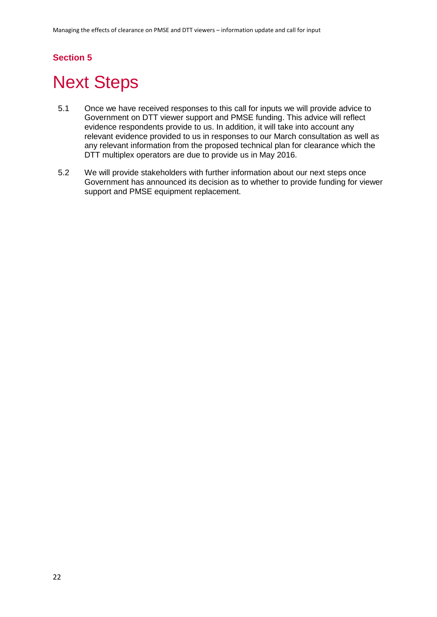## **Section 5**

# <span id="page-24-0"></span>**Next Steps**

- 5.1 Once we have received responses to this call for inputs we will provide advice to Government on DTT viewer support and PMSE funding. This advice will reflect evidence respondents provide to us. In addition, it will take into account any relevant evidence provided to us in responses to our March consultation as well as any relevant information from the proposed technical plan for clearance which the DTT multiplex operators are due to provide us in May 2016.
- 5.2 We will provide stakeholders with further information about our next steps once Government has announced its decision as to whether to provide funding for viewer support and PMSE equipment replacement.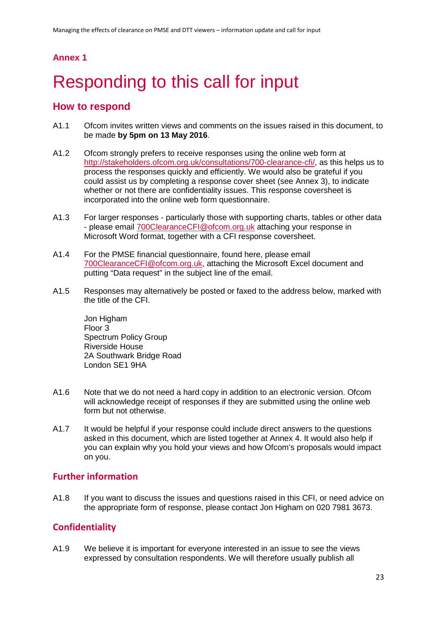### **Annex 1**

# <span id="page-25-0"></span>Responding to this call for input

### **How to respond**

- A1.1 Ofcom invites written views and comments on the issues raised in this document, to be made **by 5pm on 13 May 2016**.
- A1.2 Ofcom strongly prefers to receive responses using the online web form at [http://stakeholders.ofcom.org.uk/consultations/700-clearance-cfi/,](http://stakeholders.ofcom.org.uk/consultations/700-clearance-cfi/) as this helps us to process the responses quickly and efficiently. We would also be grateful if you could assist us by completing a response cover sheet (see Annex 3), to indicate whether or not there are confidentiality issues. This response coversheet is incorporated into the online web form questionnaire.
- A1.3 For larger responses particularly those with supporting charts, tables or other data - please email [700ClearanceCFI@ofcom.org.uk](mailto:700ClearanceCFI@ofcom.org.uk) attaching your response in Microsoft Word format, together with a CFI response coversheet.
- A1.4 For the PMSE financial questionnaire, found here, please email [700ClearanceCFI@ofcom.org.uk,](mailto:700ClearanceCFI@ofcom.org.uk) attaching the Microsoft Excel document and putting "Data request" in the subject line of the email.
- A1.5 Responses may alternatively be posted or faxed to the address below, marked with the title of the CFI.

Jon Higham Floor 3 Spectrum Policy Group Riverside House 2A Southwark Bridge Road London SE1 9HA

- A1.6 Note that we do not need a hard copy in addition to an electronic version. Ofcom will acknowledge receipt of responses if they are submitted using the online web form but not otherwise.
- A1.7 It would be helpful if your response could include direct answers to the questions asked in this document, which are listed together at Annex 4. It would also help if you can explain why you hold your views and how Ofcom's proposals would impact on you.

### **Further information**

A1.8 If you want to discuss the issues and questions raised in this CFI, or need advice on the appropriate form of response, please contact Jon Higham on 020 7981 3673.

## **Confidentiality**

A1.9 We believe it is important for everyone interested in an issue to see the views expressed by consultation respondents. We will therefore usually publish all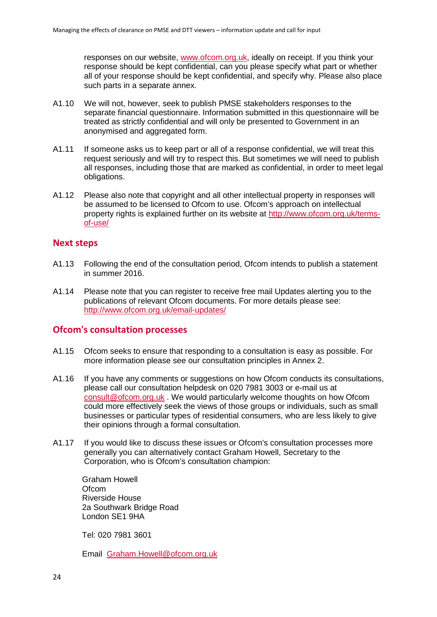responses on our website, [www.ofcom.org.uk,](http://www.ofcom.org.uk/) ideally on receipt. If you think your response should be kept confidential, can you please specify what part or whether all of your response should be kept confidential, and specify why. Please also place such parts in a separate annex.

- A1.10 We will not, however, seek to publish PMSE stakeholders responses to the separate financial questionnaire. Information submitted in this questionnaire will be treated as strictly confidential and will only be presented to Government in an anonymised and aggregated form.
- A1.11 If someone asks us to keep part or all of a response confidential, we will treat this request seriously and will try to respect this. But sometimes we will need to publish all responses, including those that are marked as confidential, in order to meet legal obligations.
- A1.12 Please also note that copyright and all other intellectual property in responses will be assumed to be licensed to Ofcom to use. Ofcom's approach on intellectual property rights is explained further on its website at [http://www.ofcom.org.uk/terms](http://www.ofcom.org.uk/terms-of-use/)[of-use/](http://www.ofcom.org.uk/terms-of-use/)

### **Next steps**

- A1.13 Following the end of the consultation period, Ofcom intends to publish a statement in summer 2016.
- A1.14 Please note that you can register to receive free mail Updates alerting you to the publications of relevant Ofcom documents. For more details please see: <http://www.ofcom.org.uk/email-updates/>

### **Ofcom's consultation processes**

- A1.15 Ofcom seeks to ensure that responding to a consultation is easy as possible. For more information please see our consultation principles in Annex 2.
- A1.16 If you have any comments or suggestions on how Ofcom conducts its consultations, please call our consultation helpdesk on 020 7981 3003 or e-mail us at [consult@ofcom.org.uk](mailto:consult@ofcom.org.uk) . We would particularly welcome thoughts on how Ofcom could more effectively seek the views of those groups or individuals, such as small businesses or particular types of residential consumers, who are less likely to give their opinions through a formal consultation.
- A1.17 If you would like to discuss these issues or Ofcom's consultation processes more generally you can alternatively contact Graham Howell, Secretary to the Corporation, who is Ofcom's consultation champion:

Graham Howell **Ofcom** Riverside House 2a Southwark Bridge Road London SE1 9HA

Tel: 020 7981 3601

Email [Graham.Howell@ofcom.org.uk](mailto:Graham.Howell@ofcom.org.uk)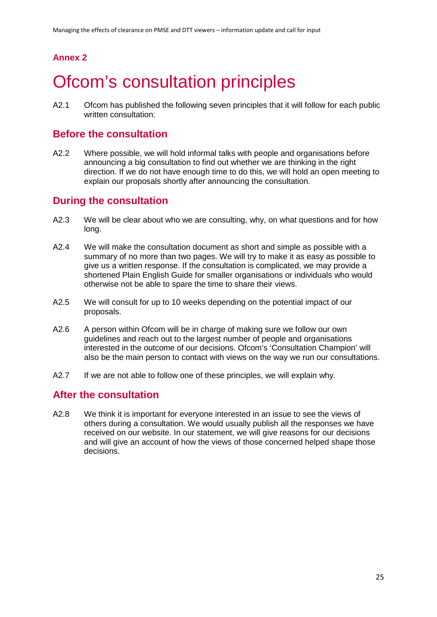## **Annex 2**

# <span id="page-27-0"></span>**Ofcom's consultation principles**

A2.1 Ofcom has published the following seven principles that it will follow for each public written consultation:

### **Before the consultation**

A2.2 Where possible, we will hold informal talks with people and organisations before announcing a big consultation to find out whether we are thinking in the right direction. If we do not have enough time to do this, we will hold an open meeting to explain our proposals shortly after announcing the consultation.

## **During the consultation**

- A2.3 We will be clear about who we are consulting, why, on what questions and for how long.
- A2.4 We will make the consultation document as short and simple as possible with a summary of no more than two pages. We will try to make it as easy as possible to give us a written response. If the consultation is complicated, we may provide a shortened Plain English Guide for smaller organisations or individuals who would otherwise not be able to spare the time to share their views.
- A2.5 We will consult for up to 10 weeks depending on the potential impact of our proposals.
- A2.6 A person within Ofcom will be in charge of making sure we follow our own guidelines and reach out to the largest number of people and organisations interested in the outcome of our decisions. Ofcom's 'Consultation Champion' will also be the main person to contact with views on the way we run our consultations.
- A2.7 If we are not able to follow one of these principles, we will explain why.

## **After the consultation**

A2.8 We think it is important for everyone interested in an issue to see the views of others during a consultation. We would usually publish all the responses we have received on our website. In our statement, we will give reasons for our decisions and will give an account of how the views of those concerned helped shape those decisions.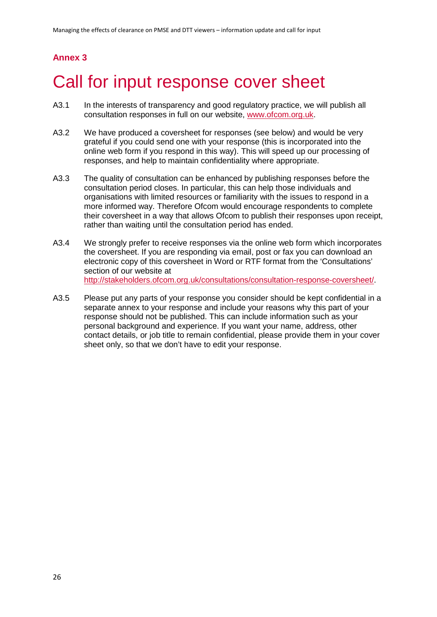## **Annex 3**

# <span id="page-28-0"></span>Call for input response cover sheet

- A3.1 In the interests of transparency and good regulatory practice, we will publish all consultation responses in full on our website, [www.ofcom.org.uk.](http://www.ofcom.org.uk/)
- A3.2 We have produced a coversheet for responses (see below) and would be very grateful if you could send one with your response (this is incorporated into the online web form if you respond in this way). This will speed up our processing of responses, and help to maintain confidentiality where appropriate.
- A3.3 The quality of consultation can be enhanced by publishing responses before the consultation period closes. In particular, this can help those individuals and organisations with limited resources or familiarity with the issues to respond in a more informed way. Therefore Ofcom would encourage respondents to complete their coversheet in a way that allows Ofcom to publish their responses upon receipt, rather than waiting until the consultation period has ended.
- A3.4 We strongly prefer to receive responses via the online web form which incorporates the coversheet. If you are responding via email, post or fax you can download an electronic copy of this coversheet in Word or RTF format from the 'Consultations' section of our website at [http://stakeholders.ofcom.org.uk/consultations/consultation-response-coversheet/.](http://stakeholders.ofcom.org.uk/consultations/consultation-response-coversheet/)
- A3.5 Please put any parts of your response you consider should be kept confidential in a separate annex to your response and include your reasons why this part of your response should not be published. This can include information such as your personal background and experience. If you want your name, address, other contact details, or job title to remain confidential, please provide them in your cover sheet only, so that we don't have to edit your response.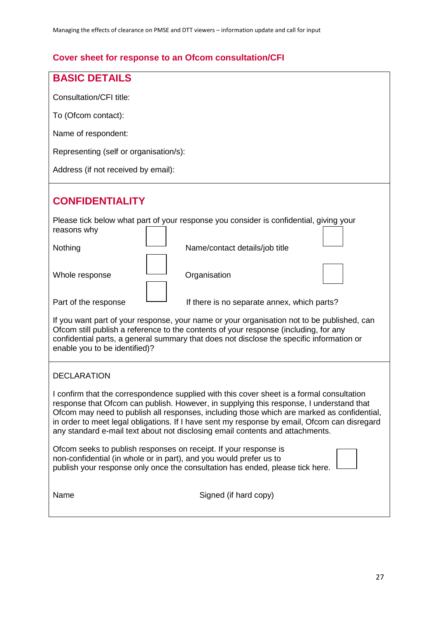## **Cover sheet for response to an Ofcom consultation/CFI**

| <b>BASIC DETAILS</b>                                                                                                                                                                                                                                                                                                                                                                                                                                                |  |  |
|---------------------------------------------------------------------------------------------------------------------------------------------------------------------------------------------------------------------------------------------------------------------------------------------------------------------------------------------------------------------------------------------------------------------------------------------------------------------|--|--|
| Consultation/CFI title:                                                                                                                                                                                                                                                                                                                                                                                                                                             |  |  |
| To (Ofcom contact):                                                                                                                                                                                                                                                                                                                                                                                                                                                 |  |  |
| Name of respondent:                                                                                                                                                                                                                                                                                                                                                                                                                                                 |  |  |
| Representing (self or organisation/s):                                                                                                                                                                                                                                                                                                                                                                                                                              |  |  |
| Address (if not received by email):                                                                                                                                                                                                                                                                                                                                                                                                                                 |  |  |
| <b>CONFIDENTIALITY</b>                                                                                                                                                                                                                                                                                                                                                                                                                                              |  |  |
| Please tick below what part of your response you consider is confidential, giving your<br>reasons why                                                                                                                                                                                                                                                                                                                                                               |  |  |
| Nothing<br>Name/contact details/job title                                                                                                                                                                                                                                                                                                                                                                                                                           |  |  |
| Whole response<br>Organisation                                                                                                                                                                                                                                                                                                                                                                                                                                      |  |  |
| Part of the response<br>If there is no separate annex, which parts?                                                                                                                                                                                                                                                                                                                                                                                                 |  |  |
| If you want part of your response, your name or your organisation not to be published, can<br>Ofcom still publish a reference to the contents of your response (including, for any<br>confidential parts, a general summary that does not disclose the specific information or<br>enable you to be identified)?                                                                                                                                                     |  |  |
| <b>DECLARATION</b>                                                                                                                                                                                                                                                                                                                                                                                                                                                  |  |  |
| I confirm that the correspondence supplied with this cover sheet is a formal consultation<br>response that Ofcom can publish. However, in supplying this response, I understand that<br>Ofcom may need to publish all responses, including those which are marked as confidential,<br>in order to meet legal obligations. If I have sent my response by email, Ofcom can disregard<br>any standard e-mail text about not disclosing email contents and attachments. |  |  |
| Ofcom seeks to publish responses on receipt. If your response is<br>non-confidential (in whole or in part), and you would prefer us to<br>publish your response only once the consultation has ended, please tick here.                                                                                                                                                                                                                                             |  |  |
| Name<br>Signed (if hard copy)                                                                                                                                                                                                                                                                                                                                                                                                                                       |  |  |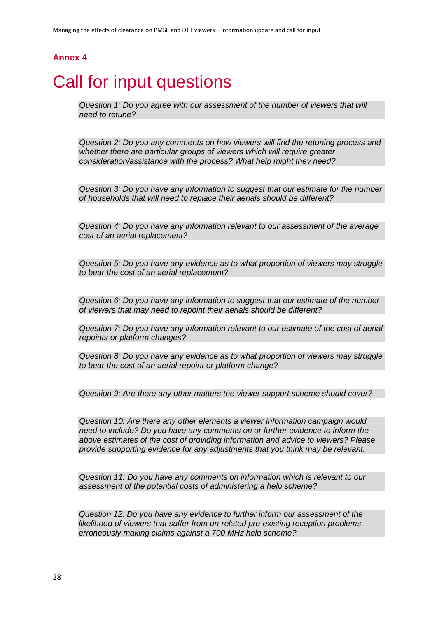### **Annex 4**

# <span id="page-30-0"></span>Call for input questions

*Question 1: Do you agree with our assessment of the number of viewers that will need to retune?*

*Question 2: Do you any comments on how viewers will find the retuning process and whether there are particular groups of viewers which will require greater consideration/assistance with the process? What help might they need?*

*Question 3: Do you have any information to suggest that our estimate for the number of households that will need to replace their aerials should be different?*

*Question 4: Do you have any information relevant to our assessment of the average cost of an aerial replacement?*

*Question 5: Do you have any evidence as to what proportion of viewers may struggle to bear the cost of an aerial replacement?*

*Question 6: Do you have any information to suggest that our estimate of the number of viewers that may need to repoint their aerials should be different?*

*Question 7: Do you have any information relevant to our estimate of the cost of aerial repoints or platform changes?*

*Question 8: Do you have any evidence as to what proportion of viewers may struggle to bear the cost of an aerial repoint or platform change?* 

*Question 9: Are there any other matters the viewer support scheme should cover?*

*Question 10: Are there any other elements a viewer information campaign would need to include? Do you have any comments on or further evidence to inform the above estimates of the cost of providing information and advice to viewers? Please provide supporting evidence for any adjustments that you think may be relevant.*

*Question 11: Do you have any comments on information which is relevant to our assessment of the potential costs of administering a help scheme?*

*Question 12: Do you have any evidence to further inform our assessment of the likelihood of viewers that suffer from un-related pre-existing reception problems erroneously making claims against a 700 MHz help scheme?*